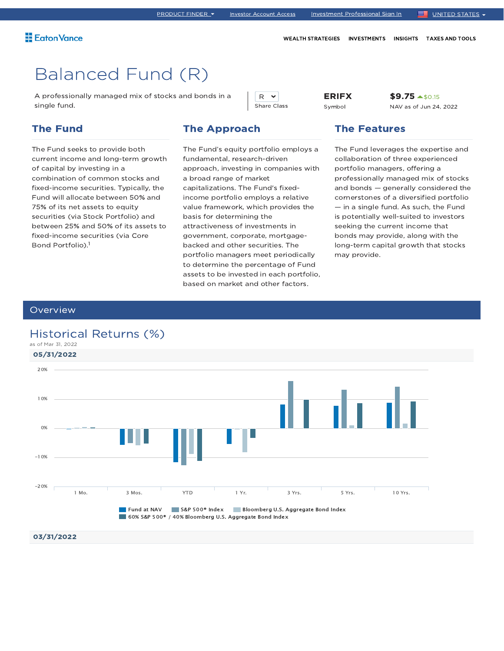A professionally managed mix of stocks and bonds in a single fund.

### The Fund

The Fund seeks to provide both current income and long-term growth of capital by investing in a combination of common stocks and fixed-income securities. Typically, the Fund will allocate between 50% and 75% of its net assets to equity securities (via Stock Portfolio) and between 25% and 50% of its assets to fixed-income securities (via Core Bond Portfolio). 1

### The Approach

The Fund's equity portfolio employs a fundamental, research-driven approach, investing in companies with a broad range of market capitalizations. The Fund's fixedincome portfolio employs a relative value framework, which provides the basis for determining the attractiveness of investments in government, corporate, mortgagebacked and other securities. The portfolio managers meet periodically to determine the percentage of Fund assets to be invested in each portfolio, based on market and other factors.

R v Share Class ERIFX Symbol

\$9.75 \$0.15 NAV as of Jun 24, 2022

### The Features

WEALTH STRATEGIES INVESTMENTS INSIGHTS TAXES AND TOOLS

The Fund leverages the expertise and collaboration of three experienced portfolio managers, offering a professionally managed mix of stocks and bonds — generally considered the cornerstones of a diversified portfolio — in a single fund. As such, the Fund is potentially well-suited to investors seeking the current income that bonds may provide, along with the long-term capital growth that stocks may provide.

### **Overview**

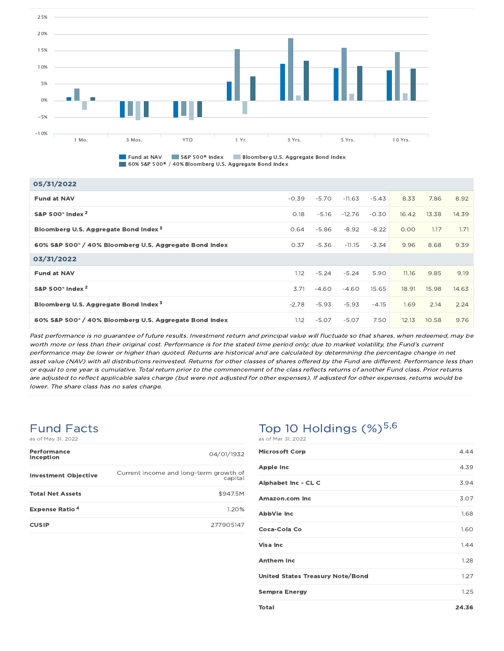

**Fund at NAV CONSIDER S&P 500® Index CONSIDERATION** Bloomberg U.S. Aggregate Bond Index 60% S&P 500® / 40% Bloomberg U.S. Aggregate Bond Index

| 05/31/2022                                                         |         |         |          |         |       |       |       |
|--------------------------------------------------------------------|---------|---------|----------|---------|-------|-------|-------|
| <b>Fund at NAV</b>                                                 | $-0.39$ | $-5.70$ | $-11.63$ | $-5.43$ | 8.33  | 7.86  | 8.92  |
| S&P 500° Index <sup>2</sup>                                        | 0.18    | $-5.16$ | $-12.76$ | $-0.30$ | 16.42 | 13.38 | 14.39 |
| Bloomberg U.S. Aggregate Bond Index <sup>3</sup>                   | 0.64    | $-5.86$ | $-8.92$  | $-8.22$ | 0.00  | 1.17  | 1.71  |
| 60% S&P 500° / 40% Bloomberg U.S. Aggregate Bond Index             | 0.37    | $-5.36$ | $-11.15$ | $-3.34$ | 9.96  | 8.68  | 9.39  |
| 03/31/2022                                                         |         |         |          |         |       |       |       |
| <b>Fund at NAV</b>                                                 | 1.12    | $-5.24$ | $-5.24$  | 5.90    | 11.16 | 9.85  | 9.19  |
| S&P 500 <sup>®</sup> Index <sup>2</sup>                            | 3.71    | $-4.60$ | $-4.60$  | 15.65   | 18.91 | 15.98 | 14.63 |
| Bloomberg U.S. Aggregate Bond Index <sup>3</sup>                   | $-2.78$ | -5.93   | $-5.93$  | $-4.15$ | 1.69  | 2.14  | 2.24  |
| 60% S&P 500 <sup>®</sup> / 40% Bloomberg U.S. Aggregate Bond Index | 1.12    | $-5.07$ | $-5.07$  | 7.50    | 12.13 | 10.58 | 9.76  |

Past performance is no guarantee of future results. Investment return and principal value will fluctuate so that shares, when redeemed, may be worth more or less than their original cost. Performance is for the stated time period only; due to market volatility, the Fund's current performance may be lower or higher than quoted. Returns are historical and are calculated by determining the percentage change in net asset value (NAV) with all distributions reinvested. Returns for other classes of shares offered by the Fund are different. Performance less than or equal to one year is cumulative. Total return prior to the commencement of the class reflects returns of another Fund class. Prior returns are adjusted to reflect applicable sales charge (but were not adjusted for other expenses). If adjusted for other expenses, returns would be lower. The share class has no sales charge.

## Fund Facts

as of May 31, 2022

| Performance<br>Inception         | 04/01/1932                                        |
|----------------------------------|---------------------------------------------------|
| <b>Investment Objective</b>      | Current income and long-term growth of<br>capital |
| <b>Total Net Assets</b>          | \$947.5M                                          |
| <b>Expense Ratio<sup>4</sup></b> | 1.20%                                             |
| <b>CUSIP</b>                     | 277905147                                         |

| <b>Microsoft Corp</b>            | 4.44 |
|----------------------------------|------|
| <b>Apple Inc</b>                 | 4.39 |
| Alphabet Inc - CL C              | 3.94 |
| Amazon.com Inc                   | 3.07 |
| AbbVie Inc                       | 1.68 |
| Coca-Cola Co                     | 1.60 |
| Visa Inc                         | 1.44 |
| <b>Anthem Inc.</b>               | 1.28 |
| United States Treasury Note/Bond | 1.27 |
| <b>Sempra Energy</b>             | 1.25 |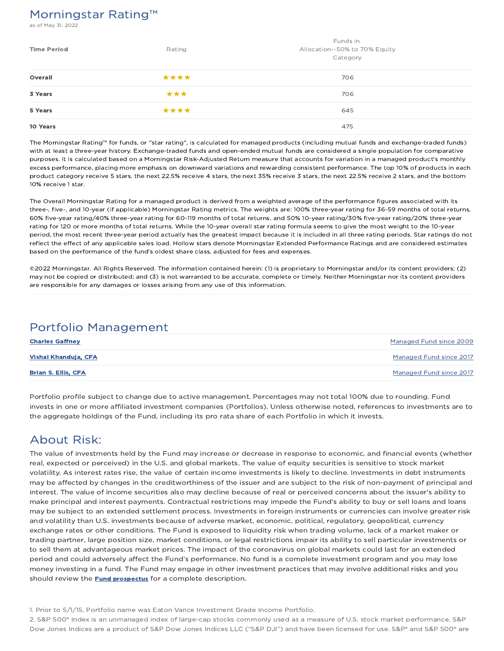## Morningstar Rating™

of May 31, 2022

| <b>Time Period</b> | Rating | Funds in<br>Allocation--50% to 70% Equity<br>Category |
|--------------------|--------|-------------------------------------------------------|
| Overall            | ****   | 706                                                   |
| 3 Years            | ***    | 706                                                   |
| 5 Years            | ****   | 645                                                   |
| 10 Years           |        | 475                                                   |

The Morningstar Rating™ for funds, or "star rating", is calculated for managed products (including mutual funds and exchange-traded funds) with at least a three-year history. Exchange-traded funds and open-ended mutual funds are considered a single population for comparative purposes. It is calculated based on a Morningstar Risk-Adjusted Return measure that accounts for variation in a managed product's monthly excess performance, placing more emphasis on downward variations and rewarding consistent performance. The top 10% of products in each product category receive 5 stars, the next 22.5% receive 4 stars, the next 35% receive 3 stars, the next 22.5% receive 2 stars, and the bottom 10% receive 1 star.

The Overall Morningstar Rating for a managed product is derived from a weighted average of the performance figures associated with its three-, five-, and 10-year (if applicable) Morningstar Rating metrics. The weights are: 100% three-year rating for 36-59 months of total returns, 60% five-year rating/40% three-year rating for 60-119 months of total returns, and 50% 10-year rating/30% five-year rating/20% three-year rating for 120 or more months of total returns. While the 10-year overall star rating formula seems to give the most weight to the 10-year period, the most recent three-year period actually has the greatest impact because it is included in all three rating periods. Star ratings do not reflect the effect of any applicable sales load. Hollow stars denote Morningstar Extended Performance Ratings and are considered estimates based on the performance of the fund's oldest share class, adjusted for fees and expenses.

©2022 Morningstar. All Rights Reserved. The information contained herein: (1) is proprietary to Morningstar and/or its content providers; (2) may not be copied or distributed; and (3) is not warranted to be accurate, complete or timely. Neither Morningstar nor its content providers are responsible for any damages or losses arising from any use of this information.

### Portfolio Management

| <b>Charles Gaffney</b>     | Managed Fund since 2009 |
|----------------------------|-------------------------|
| Vishal Khanduja, CFA       | Managed Fund since 2017 |
| <b>Brian S. Ellis, CFA</b> | Managed Fund since 2017 |

Portfolio profile subject to change due to active management. Percentages may not total 100% due to rounding. Fund invests in one or more affiliated investment companies (Portfolios). Unless otherwise noted, references to investments are to the aggregate holdings of the Fund, including its pro rata share of each Portfolio in which it invests.

## About Risk:

The value of investments held by the Fund may increase or decrease in response to economic, and financial events (whether real, expected or perceived) in the U.S. and global markets. The value of equity securities is sensitive to stock market volatility. As interest rates rise, the value of certain income investments is likely to decline. Investments in debt instruments may be affected by changes in the creditworthiness of the issuer and are subject to the risk of non-payment of principal and interest. The value of income securities also may decline because of real or perceived concerns about the issuer's ability to make principal and interest payments. Contractual restrictions may impede the Fund's ability to buy or sell loans and loans may be subject to an extended settlement process. Investments in foreign instruments or currencies can involve greater risk and volatility than U.S. investments because of adverse market, economic, political, regulatory, geopolitical, currency exchange rates or other conditions. The Fund is exposed to liquidity risk when trading volume, lack of a market maker or trading partner, large position size, market conditions, or legal restrictions impair its ability to sell particular investments or to sell them at advantageous market prices. The impact of the coronavirus on global markets could last for an extended period and could adversely affect the Fund's performance. No fund is a complete investment program and you may lose money investing in a fund. The Fund may engage in other investment practices that may involve additional risks and you should review the **Fund prospectus** for a complete description.

1. Prior to 5/1/15, Portfolio name was Eaton Vance Investment Grade Income Portfolio.

2. S&P 500® Index is an unmanaged index of large-cap stocks commonly used as a measure of U.S. stock market performance. S&P Dow Jones Indices are a product of S&P Dow Jones Indices LLC ("S&P DJI") and have been licensed for use. S&P® and S&P 500® are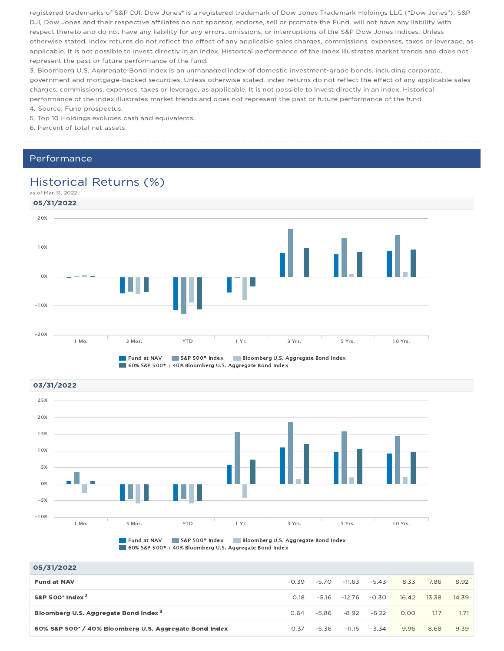registered trademarks of S&P DJI; Dow Jones® is a registered trademark of Dow Jones Trademark Holdings LLC ("Dow Jones"); S&P DJI, Dow Jones and their respective affiliates do not sponsor, endorse, sell or promote the Fund, will not have any liability with respect thereto and do not have any liability for any errors, omissions, or interruptions of the S&P Dow Jones Indices. Unless otherwise stated, index returns do not reflect the effect of any applicable sales charges, commissions, expenses, taxes or leverage, as applicable. It is not possible to invest directly in an index. Historical performance of the index illustrates market trends and does not represent the past or future performance of the fund.

3. Bloomberg U.S. Aggregate Bond Index is an unmanaged index of domestic investment-grade bonds, including corporate, government and mortgage-backed securities. Unless otherwise stated, index returns do not reflect the effect of any applicable sales charges, commissions, expenses, taxes or leverage, as applicable. It is not possible to invest directly in an index. Historical performance of the index illustrates market trends and does not represent the past or future performance of the fund.

4. Source: Fund prospectus.

5. Top 10 Holdings excludes cash and equivalents.

6. Percent of total net assets.

### Performance

## Historical Returns (%)



03/31/2022 **Fund at NAV S&P 500® Index Bloomberg U.S. Aggregate Bond Index** 1 Mo. 3 Mos. YTD 1 Yr. 3 Yrs. 5 Yrs. 10 Yrs. -10% -5% 0% 5% 10% 15% 20% 25%

60% S&P 500® / 40% Bloomberg U.S. Aggregate Bond Index

| 05/31/2022                                             |         |         |          |         |       |       |       |
|--------------------------------------------------------|---------|---------|----------|---------|-------|-------|-------|
| <b>Fund at NAV</b>                                     | $-0.39$ | $-5.70$ | $-11.63$ | $-5.43$ | 8.33  | 7.86  | 8.92  |
| S&P 500 $^{\circ}$ Index $^{2}$                        | 0.18    | -5.16   | $-12.76$ | $-0.30$ | 16.42 | 13.38 | 14.39 |
| Bloomberg U.S. Aggregate Bond Index <sup>3</sup>       | 0.64    | -5.86   | $-8.92$  | $-8.22$ | 0.00  | 1.17  | 1.71  |
| 60% S&P 500° / 40% Bloomberg U.S. Aggregate Bond Index | 0.37    | $-5.36$ | $-11.15$ | $-3.34$ | 9.96  | 8.68  | 9.39  |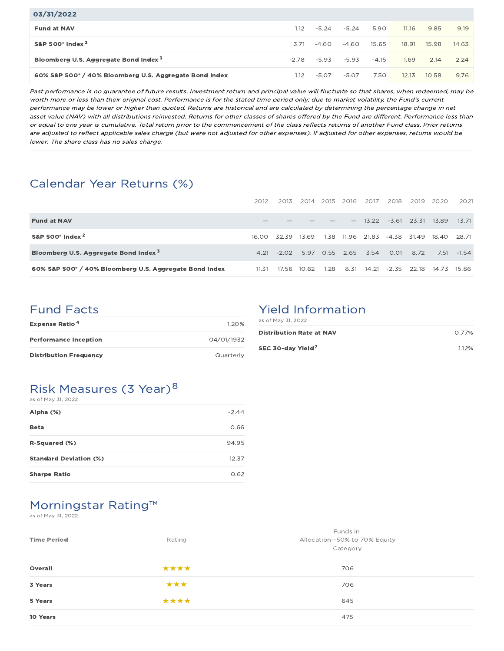| 03/31/2022                                                         |         |         |         |         |       |       |       |
|--------------------------------------------------------------------|---------|---------|---------|---------|-------|-------|-------|
| <b>Fund at NAV</b>                                                 | 1.12    | $-5.24$ | $-5.24$ | 5.90    | 11.16 | 9.85  | 9.19  |
| S&P 500 $^{\circ}$ Index $^{2}$                                    | 3.71    | $-4.60$ | $-4.60$ | 15.65   | 18.91 | 15.98 | 14.63 |
| Bloomberg U.S. Aggregate Bond Index <sup>3</sup>                   | $-2.78$ | $-5.93$ | $-5.93$ | $-4.15$ | 1.69  | 2.14  | 2.24  |
| 60% S&P 500 <sup>®</sup> / 40% Bloomberg U.S. Aggregate Bond Index | 1.12    | $-5.07$ | $-5.07$ | 7.50    | 12.13 | 10.58 | 9.76  |

Past performance is no guarantee of future results. Investment return and principal value will fluctuate so that shares, when redeemed, may be worth more or less than their original cost. Performance is for the stated time period only; due to market volatility, the Fund's current performance may be lower or higher than quoted. Returns are historical and are calculated by determining the percentage change in net asset value (NAV) with all distributions reinvested. Returns for other classes of shares offered by the Fund are different. Performance less than or equal to one year is cumulative. Total return prior to the commencement of the class reflects returns of another Fund class. Prior returns are adjusted to reflect applicable sales charge (but were not adjusted for other expenses). If adjusted for other expenses, returns would be lower. The share class has no sales charge.

## Calendar Year Returns (%)

|                                                                    | 2012  | 2013    | -2014       | 2015 2016 |       | - 2017   | 2018    | 2019          | -2020-            | 2021        |
|--------------------------------------------------------------------|-------|---------|-------------|-----------|-------|----------|---------|---------------|-------------------|-------------|
| <b>Fund at NAV</b>                                                 |       |         |             |           |       | $-13.22$ |         | $-3.61$ 23.31 | 13.89             | 13.71       |
| S&P 500 <sup>°</sup> Index <sup>2</sup>                            | 16.00 | 32.39   | 13.69       | 1.38      | 11.96 | 21.83    |         |               | -4.38 31.49 18.40 | 28.71       |
| Bloomberg U.S. Aggregate Bond Index <sup>3</sup>                   | 4.21  | $-2.02$ | 5.97        | 0.55 2.65 |       | 3.54     | 0.01    | 8.72          | 7.51              | $-1.54$     |
| 60% S&P 500 <sup>®</sup> / 40% Bloomberg U.S. Aggregate Bond Index | 11.31 |         | 17.56 10.62 | 1.28      | 8.31  | 14.21    | $-2.35$ | 22.18         |                   | 14.73 15.86 |

### Fund Facts

| <b>Expense Ratio<sup>4</sup></b> | 120%       |
|----------------------------------|------------|
| <b>Performance Inception</b>     | 04/01/1932 |
| <b>Distribution Frequency</b>    | Quarterly  |

## Yield Information

| as of May 31, 2022              |       |
|---------------------------------|-------|
| <b>Distribution Rate at NAV</b> | 0.77% |
| SEC 30-day Yield <sup>7</sup>   | 112%  |

### Risk Measures (3 Year)<sup>8</sup>  $6.05 M_{\odot}$   $21, 2022$

| as UI May UI, ZUZZ            |         |
|-------------------------------|---------|
| Alpha (%)                     | $-2.44$ |
| <b>Beta</b>                   | 0.66    |
| R-Squared (%)                 | 94.95   |
| <b>Standard Deviation (%)</b> | 12.37   |
| <b>Sharpe Ratio</b>           | 0.62    |

# Morningstar Rating™

as of May 31, 2022

| Rating | Funds in<br>Allocation--50% to 70% Equity<br>Category |
|--------|-------------------------------------------------------|
| ****   | 706                                                   |
| ***    | 706                                                   |
| ****   | 645                                                   |
|        | 475                                                   |
|        |                                                       |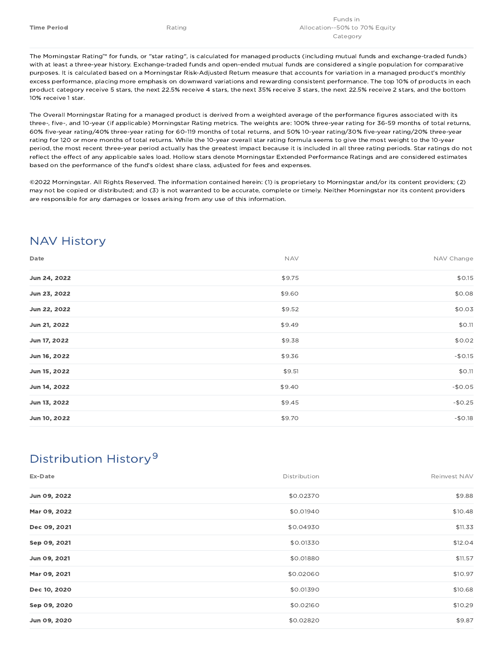The Morningstar Rating™ for funds, or "star rating", is calculated for managed products (including mutual funds and exchange-traded funds) with at least a three-year history. Exchange-traded funds and open-ended mutual funds are considered a single population for comparative purposes. It is calculated based on a Morningstar Risk-Adjusted Return measure that accounts for variation in a managed product's monthly excess performance, placing more emphasis on downward variations and rewarding consistent performance. The top 10% of products in each product category receive 5 stars, the next 22.5% receive 4 stars, the next 35% receive 3 stars, the next 22.5% receive 2 stars, and the bottom 10% receive 1 star.

The Overall Morningstar Rating for a managed product is derived from a weighted average of the performance figures associated with its three-, five-, and 10-year (if applicable) Morningstar Rating metrics. The weights are: 100% three-year rating for 36-59 months of total returns, 60% five-year rating/40% three-year rating for 60-119 months of total returns, and 50% 10-year rating/30% five-year rating/20% three-year rating for 120 or more months of total returns. While the 10-year overall star rating formula seems to give the most weight to the 10-year period, the most recent three-year period actually has the greatest impact because it is included in all three rating periods. Star ratings do not reflect the effect of any applicable sales load. Hollow stars denote Morningstar Extended Performance Ratings and are considered estimates based on the performance of the fund's oldest share class, adjusted for fees and expenses.

©2022 Morningstar. All Rights Reserved. The information contained herein: (1) is proprietary to Morningstar and/or its content providers; (2) may not be copied or distributed; and (3) is not warranted to be accurate, complete or timely. Neither Morningstar nor its content providers are responsible for any damages or losses arising from any use of this information.

## NAV History

| Date         | <b>NAV</b> | NAV Change |
|--------------|------------|------------|
| Jun 24, 2022 | \$9.75     | \$0.15     |
| Jun 23, 2022 | \$9.60     | \$0.08     |
| Jun 22, 2022 | \$9.52     | \$0.03     |
| Jun 21, 2022 | \$9.49     | \$0.11     |
| Jun 17, 2022 | \$9.38     | \$0.02     |
| Jun 16, 2022 | \$9.36     | $-$0.15$   |
| Jun 15, 2022 | \$9.51     | \$0.11     |
| Jun 14, 2022 | \$9.40     | $-$0.05$   |
| Jun 13, 2022 | \$9.45     | $-$0.25$   |
| Jun 10, 2022 | \$9.70     | $-$0.18$   |

## Distribution History 9

| Ex-Date      | Distribution | Reinvest NAV |
|--------------|--------------|--------------|
| Jun 09, 2022 | \$0.02370    | \$9.88       |
| Mar 09, 2022 | \$0.01940    | \$10.48      |
| Dec 09, 2021 | \$0.04930    | \$11.33      |
| Sep 09, 2021 | \$0.01330    | \$12.04      |
| Jun 09, 2021 | \$0.01880    | \$11.57      |
| Mar 09, 2021 | \$0.02060    | \$10.97      |
| Dec 10, 2020 | \$0.01390    | \$10.68      |
| Sep 09, 2020 | \$0.02160    | \$10.29      |
| Jun 09, 2020 | \$0.02820    | \$9.87       |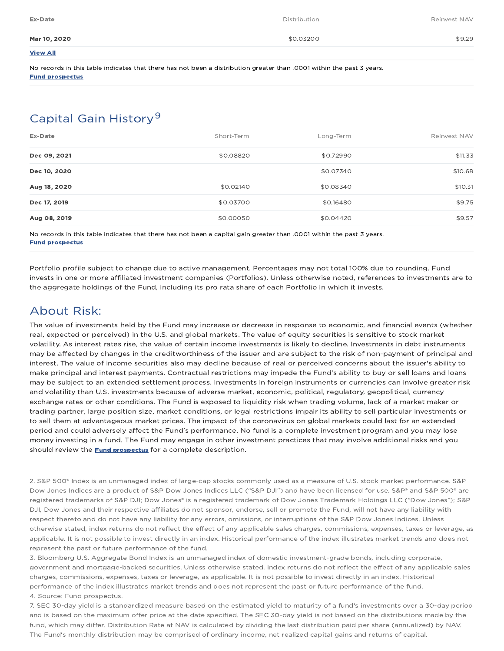| Ex-Date         | <b>Distribution</b> | Reinvest NAV |
|-----------------|---------------------|--------------|
| Mar 10, 2020    | \$0.03200           | \$9.29       |
| <b>View All</b> |                     |              |

No records in this table indicates that there has not been a distribution greater than .0001 within the past 3 years. Fund prospectus

## Capital Gain History<sup>9</sup>

| Ex-Date      | Short-Term | Long-Term | Reinvest NAV |
|--------------|------------|-----------|--------------|
| Dec 09, 2021 | \$0.08820  | \$0.72990 | \$11.33      |
| Dec 10, 2020 |            | \$0.07340 | \$10.68      |
| Aug 18, 2020 | \$0.02140  | \$0.08340 | \$10.31      |
| Dec 17, 2019 | \$0.03700  | \$0.16480 | \$9.75       |
| Aug 08, 2019 | \$0.00050  | \$0.04420 | \$9.57       |

No records in this table indicates that there has not been a capital gain greater than .0001 within the past 3 years. Fund prospectus

Portfolio profile subject to change due to active management. Percentages may not total 100% due to rounding. Fund invests in one or more affiliated investment companies (Portfolios). Unless otherwise noted, references to investments are to the aggregate holdings of the Fund, including its pro rata share of each Portfolio in which it invests.

## About Risk:

The value of investments held by the Fund may increase or decrease in response to economic, and financial events (whether real, expected or perceived) in the U.S. and global markets. The value of equity securities is sensitive to stock market volatility. As interest rates rise, the value of certain income investments is likely to decline. Investments in debt instruments may be affected by changes in the creditworthiness of the issuer and are subject to the risk of non-payment of principal and interest. The value of income securities also may decline because of real or perceived concerns about the issuer's ability to make principal and interest payments. Contractual restrictions may impede the Fund's ability to buy or sell loans and loans may be subject to an extended settlement process. Investments in foreign instruments or currencies can involve greater risk and volatility than U.S. investments because of adverse market, economic, political, regulatory, geopolitical, currency exchange rates or other conditions. The Fund is exposed to liquidity risk when trading volume, lack of a market maker or trading partner, large position size, market conditions, or legal restrictions impair its ability to sell particular investments or to sell them at advantageous market prices. The impact of the coronavirus on global markets could last for an extended period and could adversely affect the Fund's performance. No fund is a complete investment program and you may lose money investing in a fund. The Fund may engage in other investment practices that may involve additional risks and you should review the **Fund prospectus** for a complete description.

2. S&P 500® Index is an unmanaged index of large-cap stocks commonly used as a measure of U.S. stock market performance. S&P Dow Jones Indices are a product of S&P Dow Jones Indices LLC ("S&P DJI") and have been licensed for use. S&P® and S&P 500® are registered trademarks of S&P DJI; Dow Jones® is a registered trademark of Dow Jones Trademark Holdings LLC ("Dow Jones"); S&P DJI, Dow Jones and their respective affiliates do not sponsor, endorse, sell or promote the Fund, will not have any liability with respect thereto and do not have any liability for any errors, omissions, or interruptions of the S&P Dow Jones Indices. Unless otherwise stated, index returns do not reflect the effect of any applicable sales charges, commissions, expenses, taxes or leverage, as applicable. It is not possible to invest directly in an index. Historical performance of the index illustrates market trends and does not represent the past or future performance of the fund.

3. Bloomberg U.S. Aggregate Bond Index is an unmanaged index of domestic investment-grade bonds, including corporate, government and mortgage-backed securities. Unless otherwise stated, index returns do not reflect the effect of any applicable sales charges, commissions, expenses, taxes or leverage, as applicable. It is not possible to invest directly in an index. Historical performance of the index illustrates market trends and does not represent the past or future performance of the fund. 4. Source: Fund prospectus.

7. SEC 30-day yield is a standardized measure based on the estimated yield to maturity of a fund's investments over a 30-day period and is based on the maximum offer price at the date specified. The SEC 30-day yield is not based on the distributions made by the fund, which may differ. Distribution Rate at NAV is calculated by dividing the last distribution paid per share (annualized) by NAV. The Fund's monthly distribution may be comprised of ordinary income, net realized capital gains and returns of capital.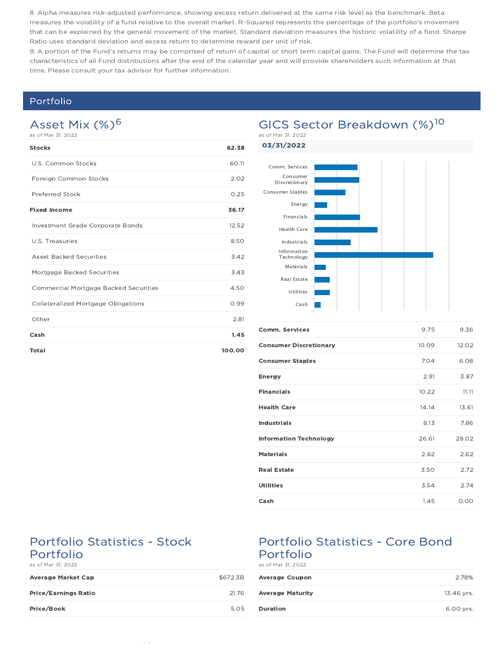8. Alpha measures risk-adjusted performance, showing excess return delivered at the same risk level as the benchmark. Beta measures the volatility of a fund relative to the overall market. R-Squared represents the percentage of the portfolio's movement that can be explained by the general movement of the market. Standard deviation measures the historic volatility of a fund. Sharpe Ratio uses standard deviation and excess return to determine reward per unit of risk.

9. A portion of the Fund's returns may be comprised of return of capital or short term capital gains. The Fund will determine the tax characteristics of all Fund distributions after the end of the calendar year and will provide shareholders such information at that time. Please consult your tax advisor for further information.

### Portfolio

### Asset Mix (%)<sup>6</sup> as of Mar 31, 2022

| <b>Stocks</b>                                | 62.38  |
|----------------------------------------------|--------|
| U.S. Common Stocks                           | 60.11  |
| Foreign Common Stocks                        | 2.02   |
| Preferred Stock                              | 0.25   |
| <b>Fixed Income</b>                          | 36.17  |
| Investment Grade Corporate Bonds             | 12.52  |
| U.S. Treasuries                              | 8.50   |
| <b>Asset Backed Securities</b>               | 3.42   |
| Mortgage Backed Securities                   | 3.43   |
| <b>Commercial Mortgage Backed Securities</b> | 4.50   |
| <b>Collateralized Mortgage Obligations</b>   | 0.99   |
| Other                                        | 2.81   |
| Cash                                         | 1.45   |
| <b>Total</b>                                 | 100.00 |

### GICS Sector Breakdown (%)<sup>10</sup> as of Mar 31, 2022

03/31/2022



| <b>Comm. Services</b>         | 9.75  | 9.36  |
|-------------------------------|-------|-------|
| <b>Consumer Discretionary</b> | 10.09 | 12.02 |
| <b>Consumer Staples</b>       | 7.04  | 6.08  |
| <b>Energy</b>                 | 2.91  | 3.87  |
| <b>Financials</b>             | 10.22 | 11.11 |
| <b>Health Care</b>            | 14.14 | 13.61 |
| <b>Industrials</b>            | 8.13  | 7.86  |
| <b>Information Technology</b> | 26.61 | 28.02 |
| <b>Materials</b>              | 2.62  | 2.62  |
| <b>Real Estate</b>            | 3.50  | 2.72  |
| <b>Utilities</b>              | 3.54  | 2.74  |
| Cash                          | 1.45  | 0.00  |

### Portfolio Statistics - Stock Portfolio

as of Mar 31, 2022

| <b>Average Market Cap</b>   | \$672.3B |
|-----------------------------|----------|
| <b>Price/Earnings Ratio</b> | 21.76    |
| Price/Book                  | 5.05     |

## Portfolio Statistics - Core Bond Portfolio

as of Mar 31, 2022

| <b>Average Coupon</b>   | 2.78%      |
|-------------------------|------------|
| <b>Average Maturity</b> | 13.46 vrs. |
| <b>Duration</b>         | 6.00 vrs.  |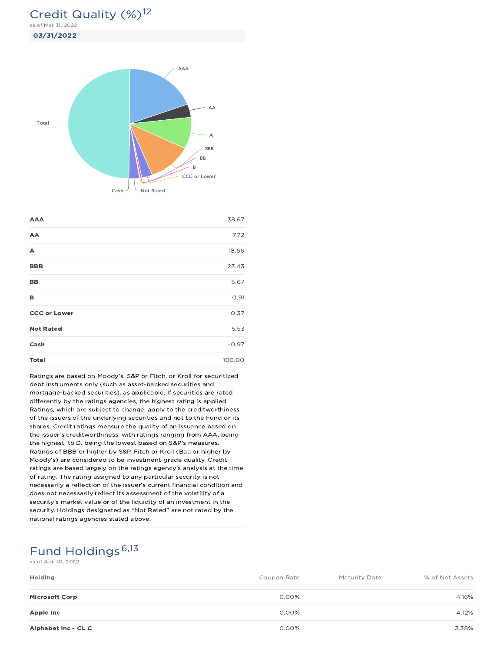## Credit Quality (%)<sup>12</sup>

03/31/2022 as of Mar 31, 2022



| <b>AAA</b>          | 38.67   |
|---------------------|---------|
| AA                  | 7.72    |
| A                   | 18.66   |
| <b>BBB</b>          | 23.43   |
| BB                  | 5.67    |
| в                   | 0.91    |
| <b>CCC or Lower</b> | 0.37    |
| <b>Not Rated</b>    | 5.53    |
| Cash                | $-0.97$ |
| <b>Total</b>        | 100.00  |

Ratings are based on Moody's, S&P or Fitch, or Kroll for securitized debt instruments only (such as asset-backed securities and mortgage-backed securities), as applicable. If securities are rated differently by the ratings agencies, the highest rating is applied. Ratings, which are subject to change, apply to the creditworthiness of the issuers of the underlying securities and not to the Fund or its shares. Credit ratings measure the quality of an issuance based on the issuer's creditworthiness, with ratings ranging from AAA, being the highest, to D, being the lowest based on S&P's measures. Ratings of BBB or higher by S&P, Fitch or Kroll (Baa or higher by Moody's) are considered to be investment-grade quality. Credit ratings are based largely on the ratings agency's analysis at the time of rating. The rating assigned to any particular security is not necessarily a reflection of the issuer's current financial condition and does not necessarily reflect its assessment of the volatility of a security's market value or of the liquidity of an investment in the security. Holdings designated as "Not Rated" are not rated by the national ratings agencies stated above.

## Fund Holdings<sup>6,13</sup>

as of Apr 30, 2022

| Holding               | Coupon Rate | <b>Maturity Date</b> | % of Net Assets |
|-----------------------|-------------|----------------------|-----------------|
| <b>Microsoft Corp</b> | 0.00%       |                      | 4.16%           |
| Apple Inc             | 0.00%       |                      | 4.12%           |
| Alphabet Inc - CL C   | 0.00%       |                      | 3.38%           |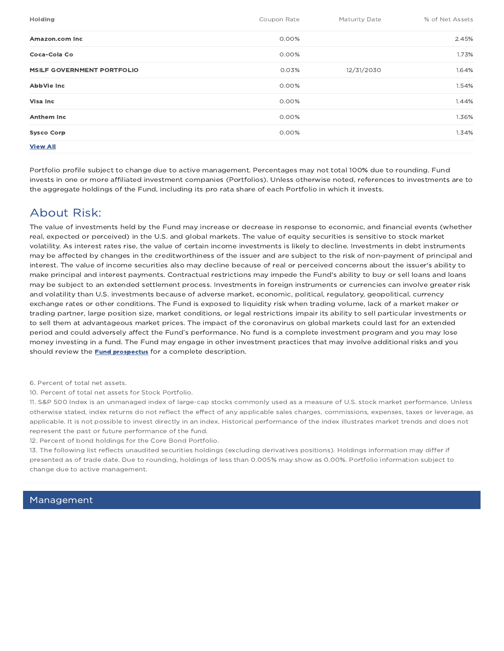| Holding                           | Coupon Rate | Maturity Date | % of Net Assets |
|-----------------------------------|-------------|---------------|-----------------|
| Amazon.com Inc                    | 0.00%       |               | 2.45%           |
| Coca-Cola Co                      | 0.00%       |               | 1.73%           |
| <b>MSILF GOVERNMENT PORTFOLIO</b> | 0.03%       | 12/31/2030    | 1.64%           |
| AbbVie Inc                        | 0.00%       |               | 1.54%           |
| <b>Visa Inc</b>                   | 0.00%       |               | 1.44%           |
| <b>Anthem Inc</b>                 | 0.00%       |               | 1.36%           |
| <b>Sysco Corp</b>                 | 0.00%       |               | 1.34%           |
| <b>View All</b>                   |             |               |                 |

Portfolio profile subject to change due to active management. Percentages may not total 100% due to rounding. Fund invests in one or more affiliated investment companies (Portfolios). Unless otherwise noted, references to investments are to the aggregate holdings of the Fund, including its pro rata share of each Portfolio in which it invests.

## About Risk:

The value of investments held by the Fund may increase or decrease in response to economic, and financial events (whether real, expected or perceived) in the U.S. and global markets. The value of equity securities is sensitive to stock market volatility. As interest rates rise, the value of certain income investments is likely to decline. Investments in debt instruments may be affected by changes in the creditworthiness of the issuer and are subject to the risk of non-payment of principal and interest. The value of income securities also may decline because of real or perceived concerns about the issuer's ability to make principal and interest payments. Contractual restrictions may impede the Fund's ability to buy or sell loans and loans may be subject to an extended settlement process. Investments in foreign instruments or currencies can involve greater risk and volatility than U.S. investments because of adverse market, economic, political, regulatory, geopolitical, currency exchange rates or other conditions. The Fund is exposed to liquidity risk when trading volume, lack of a market maker or trading partner, large position size, market conditions, or legal restrictions impair its ability to sell particular investments or to sell them at advantageous market prices. The impact of the coronavirus on global markets could last for an extended period and could adversely affect the Fund's performance. No fund is a complete investment program and you may lose money investing in a fund. The Fund may engage in other investment practices that may involve additional risks and you should review the **Fund prospectus** for a complete description.

6. Percent of total net assets.

10. Percent of total net assets for Stock Portfolio.

11. S&P 500 Index is an unmanaged index of large-cap stocks commonly used as a measure of U.S. stock market performance. Unless otherwise stated, index returns do not reflect the effect of any applicable sales charges, commissions, expenses, taxes or leverage, as applicable. It is not possible to invest directly in an index. Historical performance of the index illustrates market trends and does not represent the past or future performance of the fund.

12. Percent of bond holdings for the Core Bond Portfolio.

13. The following list reflects unaudited securities holdings (excluding derivatives positions). Holdings information may differ if presented as of trade date. Due to rounding, holdings of less than 0.005% may show as 0.00%. Portfolio information subject to change due to active management.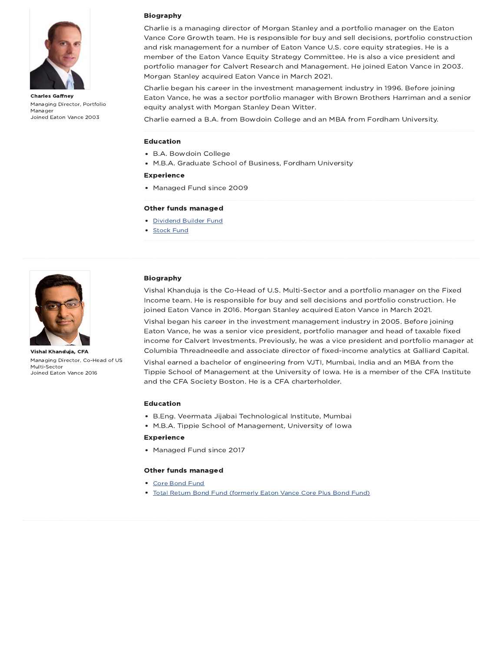

Charles Gaffney Managing Director, Portfolio Manager Joined Eaton Vance 2003

#### Biography

Charlie is a managing director of Morgan Stanley and a portfolio manager on the Eaton Vance Core Growth team. He is responsible for buy and sell decisions, portfolio construction and risk management for a number of Eaton Vance U.S. core equity strategies. He is a member of the Eaton Vance Equity Strategy Committee. He is also a vice president and portfolio manager for Calvert Research and Management. He joined Eaton Vance in 2003. Morgan Stanley acquired Eaton Vance in March 2021.

Charlie began his career in the investment management industry in 1996. Before joining Eaton Vance, he was a sector portfolio manager with Brown Brothers Harriman and a senior equity analyst with Morgan Stanley Dean Witter.

Charlie earned a B.A. from Bowdoin College and an MBA from Fordham University.

#### Education

- B.A. Bowdoin College
- M.B.A. Graduate School of Business, Fordham University

### Experience

• Managed Fund since 2009

#### Other funds managed

- Dividend Builder Fund
- **Stock Fund**



Vishal Khanduja, CFA Managing Director, Co-Head of US Multi-Sector Joined Eaton Vance 2016

#### Biography

Vishal Khanduja is the Co-Head of U.S. Multi-Sector and a portfolio manager on the Fixed Income team. He is responsible for buy and sell decisions and portfolio construction. He joined Eaton Vance in 2016. Morgan Stanley acquired Eaton Vance in March 2021.

Vishal began his career in the investment management industry in 2005. Before joining Eaton Vance, he was a senior vice president, portfolio manager and head of taxable fixed income for Calvert Investments. Previously, he was a vice president and portfolio manager at Columbia Threadneedle and associate director of fixed-income analytics at Galliard Capital.

Vishal earned a bachelor of engineering from VJTI, Mumbai, India and an MBA from the Tippie School of Management at the University of Iowa. He is a member of the CFA Institute and the CFA Society Boston. He is a CFA charterholder.

#### Education

- B.Eng. Veermata Jijabai Technological Institute, Mumbai
- M.B.A. Tippie School of Management, University of Iowa

#### Experience

Managed Fund since 2017

#### Other funds managed

- Core Bond Fund
- Total Return Bond Fund (formerly Eaton Vance Core Plus Bond Fund)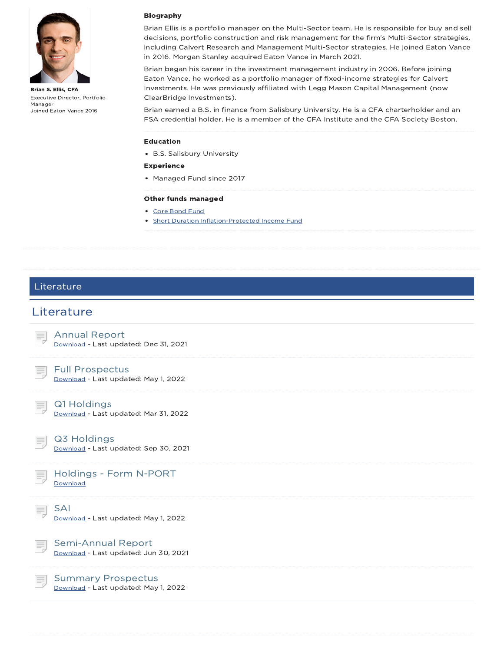

Brian S. Ellis, CFA Executive Director, Portfolio Manager Joined Eaton Vance 2016

### Biography

Brian Ellis is a portfolio manager on the Multi-Sector team. He is responsible for buy and sell decisions, portfolio construction and risk management for the firm's Multi-Sector strategies, including Calvert Research and Management Multi-Sector strategies. He joined Eaton Vance in 2016. Morgan Stanley acquired Eaton Vance in March 2021.

Brian began his career in the investment management industry in 2006. Before joining Eaton Vance, he worked as a portfolio manager of fixed-income strategies for Calvert Investments. He was previously affiliated with Legg Mason Capital Management (now ClearBridge Investments).

Brian earned a B.S. in finance from Salisbury University. He is a CFA charterholder and an FSA credential holder. He is a member of the CFA Institute and the CFA Society Boston.

#### Education

B.S. Salisbury University

### Experience

• Managed Fund since 2017

#### Other funds managed

- Core Bond Fund
- **Short Duration Inflation-Protected Income Fund**

### Literature

### **Literature**

Annual Report Download - Last updated: Dec 31, 2021

### Full Prospectus

Download - Last updated: May 1, 2022



Q1 Holdings

Download - Last updated: Mar 31, 2022

### Q3 Holdings

Download - Last updated: Sep 30, 2021



SAI

Download - Last updated: May 1, 2022

Semi-Annual Report Download - Last updated: Jun 30, 2021

Summary Prospectus Download - Last updated: May 1, 2022